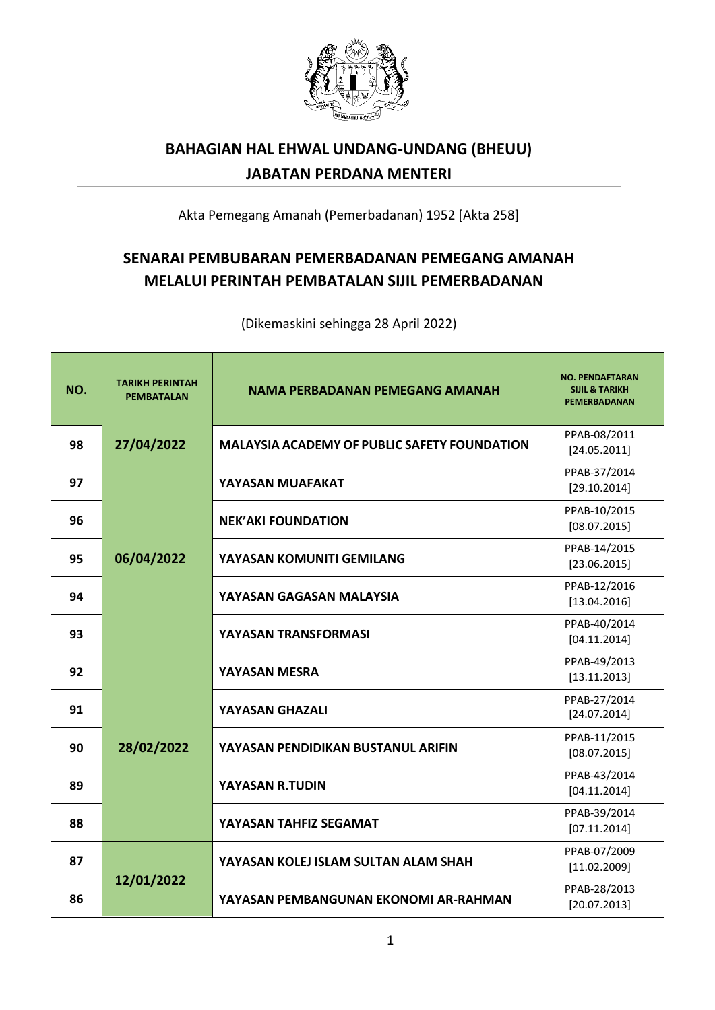

## **BAHAGIAN HAL EHWAL UNDANG-UNDANG (BHEUU) JABATAN PERDANA MENTERI**

Akta Pemegang Amanah (Pemerbadanan) 1952 [Akta 258]

## **SENARAI PEMBUBARAN PEMERBADANAN PEMEGANG AMANAH MELALUI PERINTAH PEMBATALAN SIJIL PEMERBADANAN**

(Dikemaskini sehingga 28 April 2022)

| NO. | <b>TARIKH PERINTAH</b><br><b>PEMBATALAN</b> | <b>NAMA PERBADANAN PEMEGANG AMANAH</b>              | <b>NO. PENDAFTARAN</b><br><b>SIJIL &amp; TARIKH</b><br>PEMERBADANAN |
|-----|---------------------------------------------|-----------------------------------------------------|---------------------------------------------------------------------|
| 98  | 27/04/2022                                  | <b>MALAYSIA ACADEMY OF PUBLIC SAFETY FOUNDATION</b> | PPAB-08/2011<br>[24.05.2011]                                        |
| 97  |                                             | YAYASAN MUAFAKAT                                    | PPAB-37/2014<br>[29.10.2014]                                        |
| 96  |                                             | <b>NEK'AKI FOUNDATION</b>                           | PPAB-10/2015<br>[08.07.2015]                                        |
| 95  | 06/04/2022                                  | YAYASAN KOMUNITI GEMILANG                           | PPAB-14/2015<br>[23.06.2015]                                        |
| 94  |                                             | YAYASAN GAGASAN MALAYSIA                            | PPAB-12/2016<br>[13.04.2016]                                        |
| 93  |                                             | YAYASAN TRANSFORMASI                                | PPAB-40/2014<br>[04.11.2014]                                        |
| 92  |                                             | <b>YAYASAN MESRA</b>                                | PPAB-49/2013<br>[13.11.2013]                                        |
| 91  |                                             | <b>YAYASAN GHAZALI</b>                              | PPAB-27/2014<br>[24.07.2014]                                        |
| 90  | 28/02/2022                                  | YAYASAN PENDIDIKAN BUSTANUL ARIFIN                  | PPAB-11/2015<br>[08.07.2015]                                        |
| 89  |                                             | <b>YAYASAN R.TUDIN</b>                              | PPAB-43/2014<br>[04.11.2014]                                        |
| 88  |                                             | YAYASAN TAHFIZ SEGAMAT                              | PPAB-39/2014<br>[07.11.2014]                                        |
| 87  |                                             | YAYASAN KOLEJ ISLAM SULTAN ALAM SHAH                | PPAB-07/2009<br>[11.02.2009]                                        |
| 86  | 12/01/2022                                  | YAYASAN PEMBANGUNAN EKONOMI AR-RAHMAN               | PPAB-28/2013<br>[20.07.2013]                                        |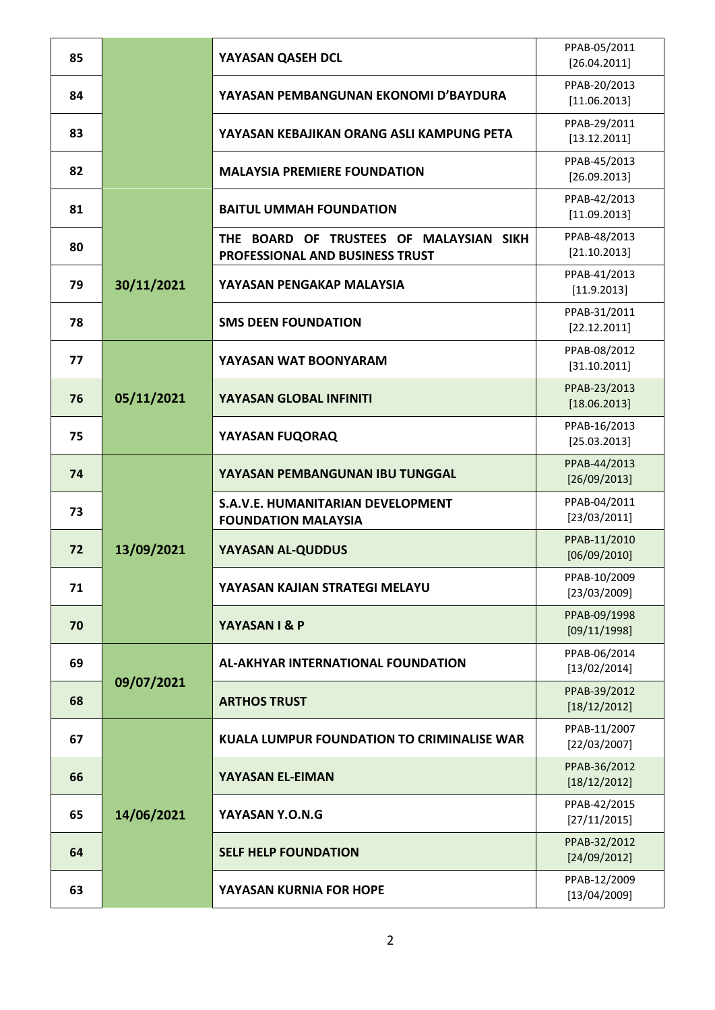| 85 |            | YAYASAN QASEH DCL                                                          | PPAB-05/2011<br>[26.04.2011] |
|----|------------|----------------------------------------------------------------------------|------------------------------|
| 84 |            | YAYASAN PEMBANGUNAN EKONOMI D'BAYDURA                                      | PPAB-20/2013<br>[11.06.2013] |
| 83 |            | YAYASAN KEBAJIKAN ORANG ASLI KAMPUNG PETA                                  | PPAB-29/2011<br>[13.12.2011] |
| 82 |            | <b>MALAYSIA PREMIERE FOUNDATION</b>                                        | PPAB-45/2013<br>[26.09.2013] |
| 81 |            | <b>BAITUL UMMAH FOUNDATION</b>                                             | PPAB-42/2013<br>[11.09.2013] |
| 80 |            | THE BOARD OF TRUSTEES OF MALAYSIAN SIKH<br>PROFESSIONAL AND BUSINESS TRUST | PPAB-48/2013<br>[21.10.2013] |
| 79 | 30/11/2021 | YAYASAN PENGAKAP MALAYSIA                                                  | PPAB-41/2013<br>[11.9.2013]  |
| 78 |            | <b>SMS DEEN FOUNDATION</b>                                                 | PPAB-31/2011<br>[22.12.2011] |
| 77 |            | YAYASAN WAT BOONYARAM                                                      | PPAB-08/2012<br>[31.10.2011] |
| 76 | 05/11/2021 | YAYASAN GLOBAL INFINITI                                                    | PPAB-23/2013<br>[18.06.2013] |
| 75 |            | YAYASAN FUQORAQ                                                            | PPAB-16/2013<br>[25.03.2013] |
| 74 |            | YAYASAN PEMBANGUNAN IBU TUNGGAL                                            | PPAB-44/2013<br>[26/09/2013] |
| 73 |            | S.A.V.E. HUMANITARIAN DEVELOPMENT<br><b>FOUNDATION MALAYSIA</b>            | PPAB-04/2011<br>[23/03/2011] |
| 72 | 13/09/2021 | YAYASAN AL-QUDDUS                                                          | PPAB-11/2010<br>[06/09/2010] |
| 71 |            | YAYASAN KAJIAN STRATEGI MELAYU                                             | PPAB-10/2009<br>[23/03/2009] |
| 70 |            | YAYASAN I & P                                                              | PPAB-09/1998<br>[09/11/1998] |
| 69 |            | <b>AL-AKHYAR INTERNATIONAL FOUNDATION</b>                                  | PPAB-06/2014<br>[13/02/2014] |
| 68 | 09/07/2021 | <b>ARTHOS TRUST</b>                                                        | PPAB-39/2012<br>[18/12/2012] |
| 67 |            | KUALA LUMPUR FOUNDATION TO CRIMINALISE WAR                                 | PPAB-11/2007<br>[22/03/2007] |
| 66 |            | YAYASAN EL-EIMAN                                                           | PPAB-36/2012<br>[18/12/2012] |
| 65 | 14/06/2021 | YAYASAN Y.O.N.G                                                            | PPAB-42/2015<br>[27/11/2015] |
| 64 |            | <b>SELF HELP FOUNDATION</b>                                                | PPAB-32/2012<br>[24/09/2012] |
| 63 |            | YAYASAN KURNIA FOR HOPE                                                    | PPAB-12/2009<br>[13/04/2009] |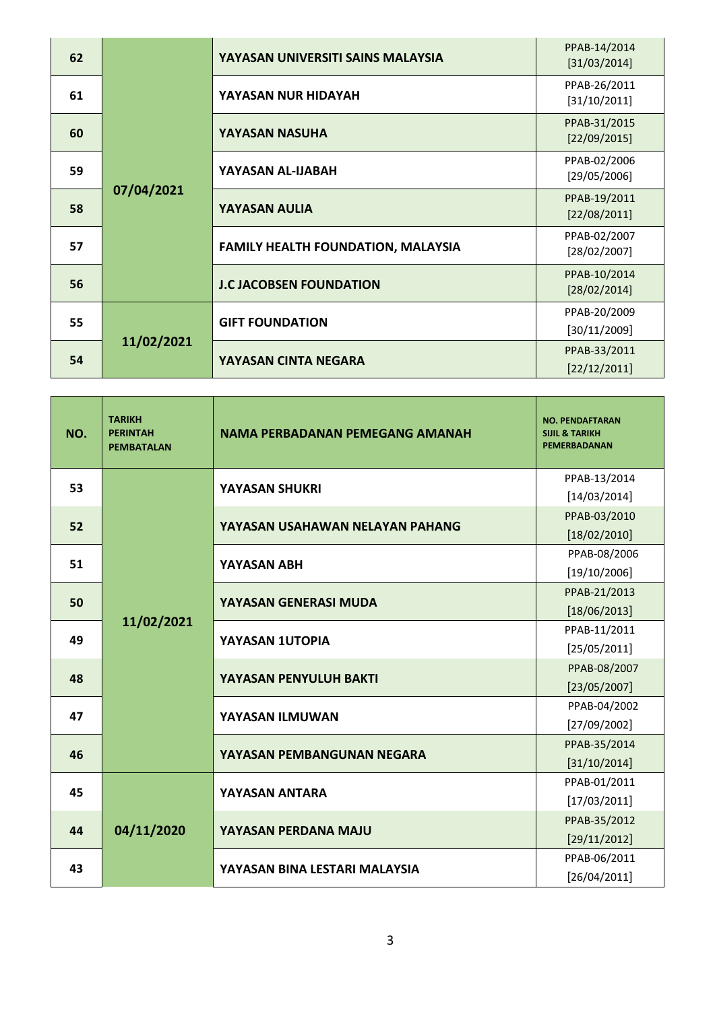| 62 |            | YAYASAN UNIVERSITI SAINS MALAYSIA         | PPAB-14/2014<br>[31/03/2014] |
|----|------------|-------------------------------------------|------------------------------|
| 61 | 07/04/2021 | YAYASAN NUR HIDAYAH                       | PPAB-26/2011<br>[31/10/2011] |
| 60 |            | YAYASAN NASUHA                            | PPAB-31/2015<br>[22/09/2015] |
| 59 |            | YAYASAN AL-IJABAH                         | PPAB-02/2006<br>[29/05/2006] |
| 58 |            | YAYASAN AULIA                             | PPAB-19/2011<br>[22/08/2011] |
| 57 |            | <b>FAMILY HEALTH FOUNDATION, MALAYSIA</b> | PPAB-02/2007<br>[28/02/2007] |
| 56 |            | <b>J.C JACOBSEN FOUNDATION</b>            | PPAB-10/2014<br>[28/02/2014] |
| 55 | 11/02/2021 | <b>GIFT FOUNDATION</b>                    | PPAB-20/2009<br>[30/11/2009] |
| 54 |            | YAYASAN CINTA NEGARA                      | PPAB-33/2011<br>[22/12/2011] |

| NO. | <b>TARIKH</b><br><b>PERINTAH</b><br><b>PEMBATALAN</b> | NAMA PERBADANAN PEMEGANG AMANAH | <b>NO. PENDAFTARAN</b><br><b>SIJIL &amp; TARIKH</b><br>PEMERBADANAN |
|-----|-------------------------------------------------------|---------------------------------|---------------------------------------------------------------------|
| 53  |                                                       | <b>YAYASAN SHUKRI</b>           | PPAB-13/2014                                                        |
|     |                                                       |                                 | [14/03/2014]                                                        |
| 52  |                                                       | YAYASAN USAHAWAN NELAYAN PAHANG | PPAB-03/2010                                                        |
|     |                                                       |                                 | [18/02/2010]                                                        |
| 51  |                                                       | YAYASAN ABH                     | PPAB-08/2006                                                        |
|     |                                                       |                                 | [19/10/2006]                                                        |
|     |                                                       | YAYASAN GENERASI MUDA           | PPAB-21/2013                                                        |
| 50  |                                                       |                                 | [18/06/2013]                                                        |
|     | 11/02/2021                                            | YAYASAN 1UTOPIA                 | PPAB-11/2011                                                        |
| 49  |                                                       |                                 | [25/05/2011]                                                        |
|     |                                                       |                                 | PPAB-08/2007                                                        |
| 48  |                                                       | YAYASAN PENYULUH BAKTI          | [23/05/2007]                                                        |
|     |                                                       |                                 | PPAB-04/2002                                                        |
| 47  |                                                       | YAYASAN ILMUWAN                 | [27/09/2002]                                                        |
|     |                                                       |                                 | PPAB-35/2014                                                        |
| 46  |                                                       | YAYASAN PEMBANGUNAN NEGARA      | [31/10/2014]                                                        |
|     |                                                       |                                 | PPAB-01/2011                                                        |
| 45  | 04/11/2020                                            | YAYASAN ANTARA                  | [17/03/2011]                                                        |
|     |                                                       | YAYASAN PERDANA MAJU            | PPAB-35/2012                                                        |
| 44  |                                                       |                                 | [29/11/2012]                                                        |
|     |                                                       |                                 | PPAB-06/2011                                                        |
| 43  |                                                       | YAYASAN BINA LESTARI MALAYSIA   | [26/04/2011]                                                        |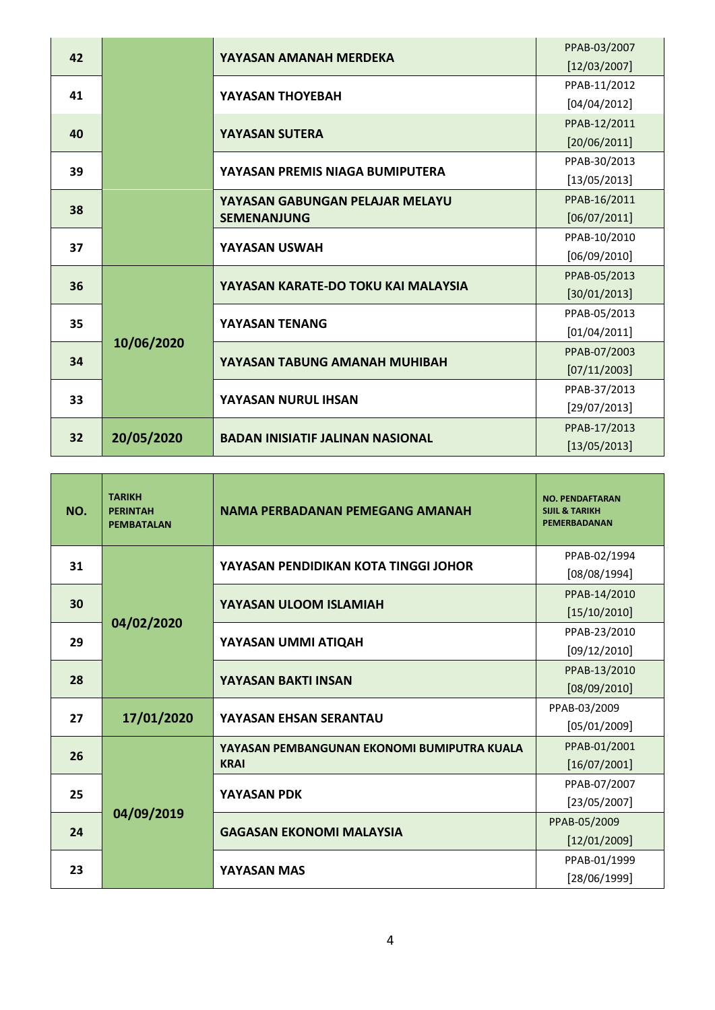|    |            |                                         | PPAB-03/2007 |
|----|------------|-----------------------------------------|--------------|
| 42 |            | YAYASAN AMANAH MERDEKA                  | [12/03/2007] |
|    |            |                                         | PPAB-11/2012 |
| 41 |            | YAYASAN THOYEBAH                        | [04/04/2012] |
| 40 |            |                                         | PPAB-12/2011 |
|    |            | <b>YAYASAN SUTERA</b>                   | [20/06/2011] |
|    |            | YAYASAN PREMIS NIAGA BUMIPUTERA         | PPAB-30/2013 |
| 39 |            |                                         | [13/05/2013] |
| 38 |            | YAYASAN GABUNGAN PELAJAR MELAYU         | PPAB-16/2011 |
|    |            | <b>SEMENANJUNG</b>                      | [06/07/2011] |
| 37 |            |                                         | PPAB-10/2010 |
|    |            | YAYASAN USWAH                           | [06/09/2010] |
| 36 |            |                                         | PPAB-05/2013 |
|    | 10/06/2020 | YAYASAN KARATE-DO TOKU KAI MALAYSIA     | [30/01/2013] |
| 35 |            |                                         | PPAB-05/2013 |
|    |            | YAYASAN TENANG                          | [01/04/2011] |
| 34 |            | YAYASAN TABUNG AMANAH MUHIBAH           | PPAB-07/2003 |
|    |            |                                         | [07/11/2003] |
| 33 |            |                                         | PPAB-37/2013 |
|    |            | YAYASAN NURUL IHSAN                     | [29/07/2013] |
| 32 |            | <b>BADAN INISIATIF JALINAN NASIONAL</b> | PPAB-17/2013 |
|    | 20/05/2020 |                                         | [13/05/2013] |

| NO. | <b>TARIKH</b><br><b>PERINTAH</b><br><b>PEMBATALAN</b>                       | NAMA PERBADANAN PEMEGANG AMANAH             | <b>NO. PENDAFTARAN</b><br><b>SIJIL &amp; TARIKH</b><br><b>PEMERBADANAN</b> |
|-----|-----------------------------------------------------------------------------|---------------------------------------------|----------------------------------------------------------------------------|
| 31  |                                                                             | YAYASAN PENDIDIKAN KOTA TINGGI JOHOR        | PPAB-02/1994                                                               |
|     |                                                                             |                                             | [08/08/1994]                                                               |
| 30  |                                                                             | YAYASAN ULOOM ISLAMIAH                      | PPAB-14/2010                                                               |
|     | 04/02/2020                                                                  |                                             | [15/10/2010]                                                               |
|     |                                                                             | YAYASAN UMMI ATIQAH                         | PPAB-23/2010                                                               |
| 29  |                                                                             |                                             | [09/12/2010]                                                               |
|     |                                                                             |                                             | PPAB-13/2010                                                               |
| 28  |                                                                             | YAYASAN BAKTI INSAN                         | [08/09/2010]                                                               |
|     |                                                                             | YAYASAN EHSAN SERANTAU                      | PPAB-03/2009                                                               |
| 27  | 17/01/2020                                                                  |                                             | [05/01/2009]                                                               |
|     |                                                                             | YAYASAN PEMBANGUNAN EKONOMI BUMIPUTRA KUALA | PPAB-01/2001                                                               |
| 26  | <b>KRAI</b><br>YAYASAN PDK<br>04/09/2019<br><b>GAGASAN EKONOMI MALAYSIA</b> | [16/07/2001]                                |                                                                            |
|     |                                                                             |                                             | PPAB-07/2007                                                               |
| 25  |                                                                             |                                             | [23/05/2007]                                                               |
|     |                                                                             |                                             | PPAB-05/2009                                                               |
| 24  |                                                                             |                                             | [12/01/2009]                                                               |
|     |                                                                             |                                             | PPAB-01/1999                                                               |
| 23  |                                                                             | YAYASAN MAS                                 | [28/06/1999]                                                               |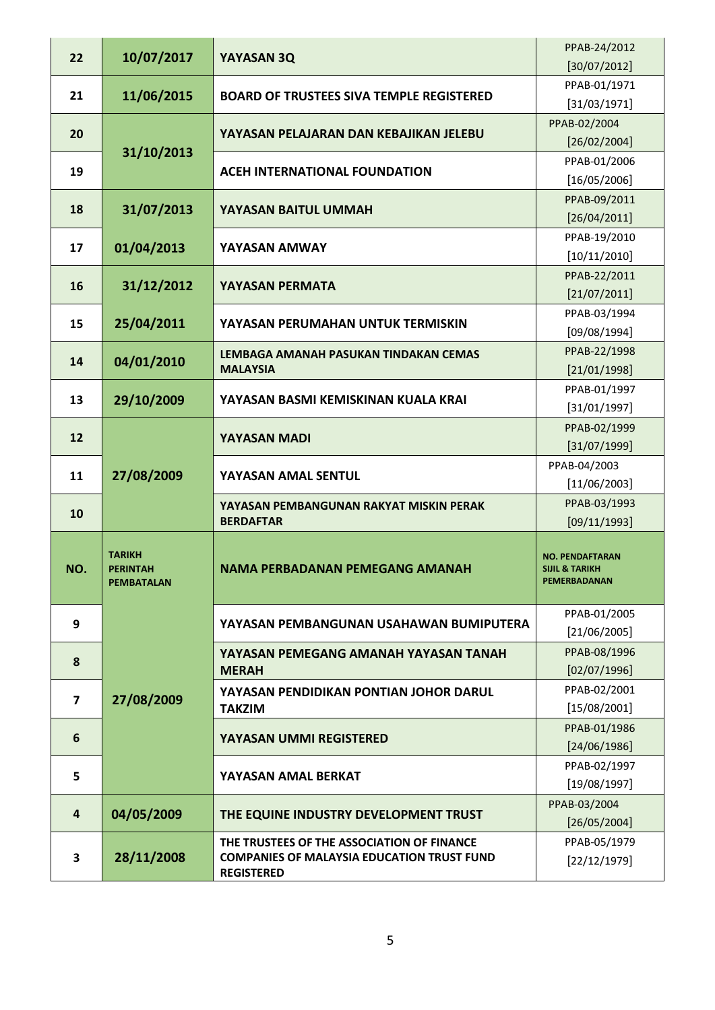| 22                      | 10/07/2017                                            | YAYASAN 3Q                                                                                                           | PPAB-24/2012<br>[30/07/2012]                                               |
|-------------------------|-------------------------------------------------------|----------------------------------------------------------------------------------------------------------------------|----------------------------------------------------------------------------|
| 21                      | 11/06/2015                                            | <b>BOARD OF TRUSTEES SIVA TEMPLE REGISTERED</b>                                                                      | PPAB-01/1971<br>[31/03/1971]                                               |
| 20                      | 31/10/2013                                            | YAYASAN PELAJARAN DAN KEBAJIKAN JELEBU                                                                               | PPAB-02/2004<br>[26/02/2004]                                               |
| 19                      |                                                       | <b>ACEH INTERNATIONAL FOUNDATION</b>                                                                                 | PPAB-01/2006<br>[16/05/2006]                                               |
| 18                      | 31/07/2013                                            | YAYASAN BAITUL UMMAH                                                                                                 | PPAB-09/2011<br>[26/04/2011]                                               |
| 17                      | 01/04/2013                                            | YAYASAN AMWAY                                                                                                        | PPAB-19/2010<br>[10/11/2010]                                               |
| 16                      | 31/12/2012                                            | YAYASAN PERMATA                                                                                                      | PPAB-22/2011<br>[21/07/2011]                                               |
| 15                      | 25/04/2011                                            | YAYASAN PERUMAHAN UNTUK TERMISKIN                                                                                    | PPAB-03/1994<br>[09/08/1994]                                               |
| 14                      | 04/01/2010                                            | LEMBAGA AMANAH PASUKAN TINDAKAN CEMAS<br><b>MALAYSIA</b>                                                             | PPAB-22/1998<br>[21/01/1998]                                               |
| 13                      | 29/10/2009                                            | YAYASAN BASMI KEMISKINAN KUALA KRAI                                                                                  | PPAB-01/1997<br>[31/01/1997]                                               |
| 12                      |                                                       | <b>YAYASAN MADI</b>                                                                                                  | PPAB-02/1999<br>[31/07/1999]                                               |
| 11                      | 27/08/2009                                            | YAYASAN AMAL SENTUL                                                                                                  | PPAB-04/2003<br>[11/06/2003]                                               |
| 10                      |                                                       | YAYASAN PEMBANGUNAN RAKYAT MISKIN PERAK<br><b>BERDAFTAR</b>                                                          | PPAB-03/1993<br>[09/11/1993]                                               |
| NO.                     | <b>TARIKH</b><br><b>PERINTAH</b><br><b>PEMBATALAN</b> | NAMA PERBADANAN PEMEGANG AMANAH                                                                                      | <b>NO. PENDAFTARAN</b><br><b>SIJIL &amp; TARIKH</b><br><b>PEMERBADANAN</b> |
| 9                       |                                                       | YAYASAN PEMBANGUNAN USAHAWAN BUMIPUTERA                                                                              | PPAB-01/2005<br>[21/06/2005]                                               |
| 8                       | 27/08/2009                                            | YAYASAN PEMEGANG AMANAH YAYASAN TANAH<br><b>MERAH</b>                                                                | PPAB-08/1996<br>[02/07/1996]                                               |
| $\overline{\mathbf{z}}$ |                                                       | YAYASAN PENDIDIKAN PONTIAN JOHOR DARUL<br><b>TAKZIM</b>                                                              | PPAB-02/2001<br>[15/08/2001]                                               |
| 6                       |                                                       | YAYASAN UMMI REGISTERED                                                                                              | PPAB-01/1986<br>[24/06/1986]                                               |
| 5                       |                                                       | YAYASAN AMAL BERKAT                                                                                                  | PPAB-02/1997<br>[19/08/1997]                                               |
| $\overline{\mathbf{4}}$ | 04/05/2009                                            | THE EQUINE INDUSTRY DEVELOPMENT TRUST                                                                                | PPAB-03/2004<br>[26/05/2004]                                               |
| 3                       | 28/11/2008                                            | THE TRUSTEES OF THE ASSOCIATION OF FINANCE<br><b>COMPANIES OF MALAYSIA EDUCATION TRUST FUND</b><br><b>REGISTERED</b> | PPAB-05/1979<br>[22/12/1979]                                               |